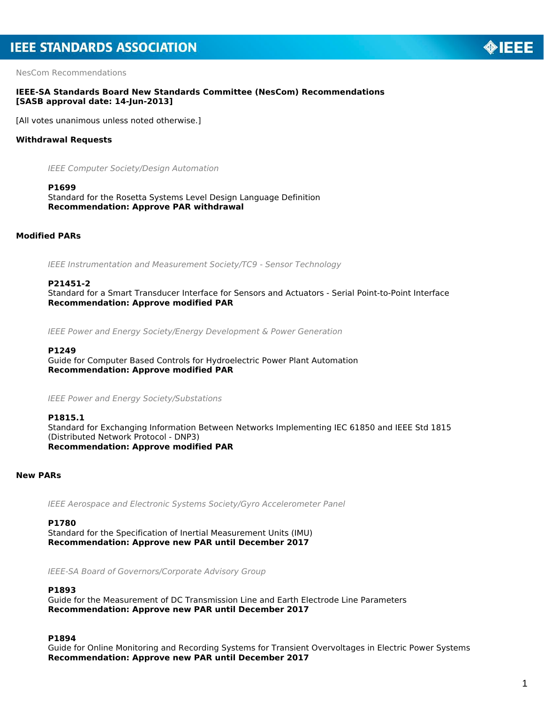NesCom Recommendations

# **IEEE-SA Standards Board New Standards Committee (NesCom) Recommendations [SASB approval date: 14-Jun-2013]**

[All votes unanimous unless noted otherwise.]

# **Withdrawal Requests**

*IEEE Computer Society/Design Automation*

#### **P1699**

Standard for the Rosetta Systems Level Design Language Definition *Recommendation: Approve PAR withdrawal*

# **Modified PARs**

*IEEE Instrumentation and Measurement Society/TC9 - Sensor Technology*

## **P21451-2**

Standard for a Smart Transducer Interface for Sensors and Actuators - Serial Point-to-Point Interface *Recommendation: Approve modified PAR*

*IEEE Power and Energy Society/Energy Development & Power Generation*

#### **P1249**

Guide for Computer Based Controls for Hydroelectric Power Plant Automation *Recommendation: Approve modified PAR*

*IEEE Power and Energy Society/Substations*

### **P1815.1**

Standard for Exchanging Information Between Networks Implementing IEC 61850 and IEEE Std 1815 (Distributed Network Protocol - DNP3) *Recommendation: Approve modified PAR*

# **New PARs**

*IEEE Aerospace and Electronic Systems Society/Gyro Accelerometer Panel*

#### **P1780**

Standard for the Specification of Inertial Measurement Units (IMU) *Recommendation: Approve new PAR until December 2017*

*IEEE-SA Board of Governors/Corporate Advisory Group*

#### **P1893**

Guide for the Measurement of DC Transmission Line and Earth Electrode Line Parameters *Recommendation: Approve new PAR until December 2017*

#### **P1894**

Guide for Online Monitoring and Recording Systems for Transient Overvoltages in Electric Power Systems *Recommendation: Approve new PAR until December 2017*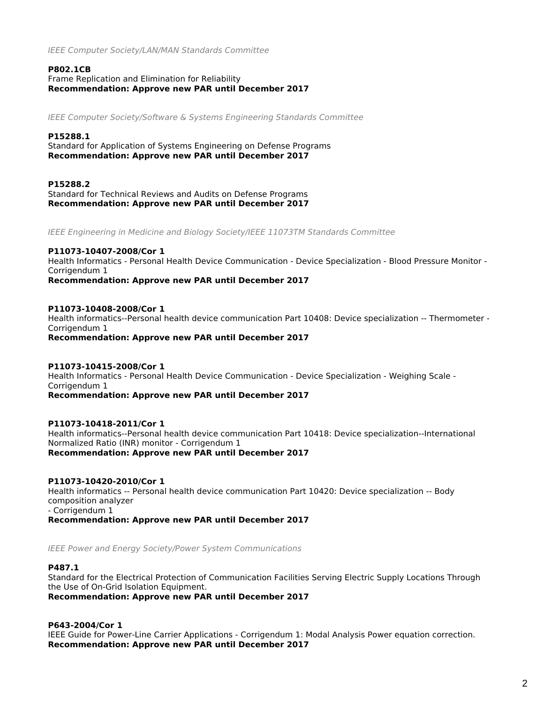*IEEE Computer Society/LAN/MAN Standards Committee*

# **P802.1CB**

Frame Replication and Elimination for Reliability *Recommendation: Approve new PAR until December 2017*

*IEEE Computer Society/Software & Systems Engineering Standards Committee*

# **P15288.1**

Standard for Application of Systems Engineering on Defense Programs *Recommendation: Approve new PAR until December 2017*

**P15288.2** Standard for Technical Reviews and Audits on Defense Programs *Recommendation: Approve new PAR until December 2017*

*IEEE Engineering in Medicine and Biology Society/IEEE 11073TM Standards Committee*

# **P11073-10407-2008/Cor 1**

Health Informatics - Personal Health Device Communication - Device Specialization - Blood Pressure Monitor - Corrigendum 1

*Recommendation: Approve new PAR until December 2017*

## **P11073-10408-2008/Cor 1**

Health informatics--Personal health device communication Part 10408: Device specialization -- Thermometer - Corrigendum 1 *Recommendation: Approve new PAR until December 2017*

**P11073-10415-2008/Cor 1** Health Informatics - Personal Health Device Communication - Device Specialization - Weighing Scale - Corrigendum 1 *Recommendation: Approve new PAR until December 2017*

**P11073-10418-2011/Cor 1**

Health informatics--Personal health device communication Part 10418: Device specialization--International Normalized Ratio (INR) monitor - Corrigendum 1

*Recommendation: Approve new PAR until December 2017*

# **P11073-10420-2010/Cor 1**

Health informatics -- Personal health device communication Part 10420: Device specialization -- Body composition analyzer - Corrigendum 1

*Recommendation: Approve new PAR until December 2017*

*IEEE Power and Energy Society/Power System Communications*

# **P487.1**

Standard for the Electrical Protection of Communication Facilities Serving Electric Supply Locations Through the Use of On-Grid Isolation Equipment.

*Recommendation: Approve new PAR until December 2017*

# **P643-2004/Cor 1**

IEEE Guide for Power-Line Carrier Applications - Corrigendum 1: Modal Analysis Power equation correction. *Recommendation: Approve new PAR until December 2017*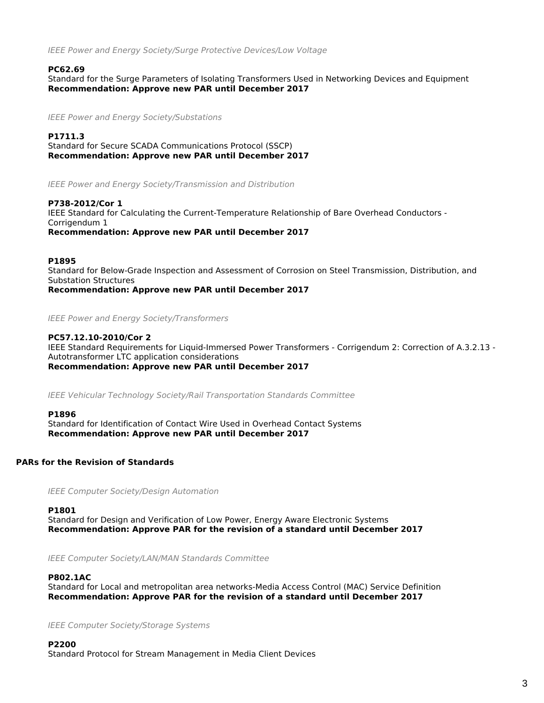*IEEE Power and Energy Society/Surge Protective Devices/Low Voltage*

#### **PC62.69**

Standard for the Surge Parameters of Isolating Transformers Used in Networking Devices and Equipment *Recommendation: Approve new PAR until December 2017*

*IEEE Power and Energy Society/Substations*

## **P1711.3**

Standard for Secure SCADA Communications Protocol (SSCP) *Recommendation: Approve new PAR until December 2017*

*IEEE Power and Energy Society/Transmission and Distribution*

**P738-2012/Cor 1** IEEE Standard for Calculating the Current-Temperature Relationship of Bare Overhead Conductors - Corrigendum 1 *Recommendation: Approve new PAR until December 2017*

#### **P1895**

Standard for Below-Grade Inspection and Assessment of Corrosion on Steel Transmission, Distribution, and Substation Structures

*Recommendation: Approve new PAR until December 2017*

#### *IEEE Power and Energy Society/Transformers*

### **PC57.12.10-2010/Cor 2**

IEEE Standard Requirements for Liquid-Immersed Power Transformers - Corrigendum 2: Correction of A.3.2.13 - Autotransformer LTC application considerations *Recommendation: Approve new PAR until December 2017*

*IEEE Vehicular Technology Society/Rail Transportation Standards Committee*

#### **P1896**

Standard for Identification of Contact Wire Used in Overhead Contact Systems *Recommendation: Approve new PAR until December 2017*

### **PARs for the Revision of Standards**

*IEEE Computer Society/Design Automation*

#### **P1801**

Standard for Design and Verification of Low Power, Energy Aware Electronic Systems *Recommendation: Approve PAR for the revision of a standard until December 2017*

*IEEE Computer Society/LAN/MAN Standards Committee*

# **P802.1AC**

Standard for Local and metropolitan area networks-Media Access Control (MAC) Service Definition *Recommendation: Approve PAR for the revision of a standard until December 2017*

*IEEE Computer Society/Storage Systems*

# **P2200**

Standard Protocol for Stream Management in Media Client Devices